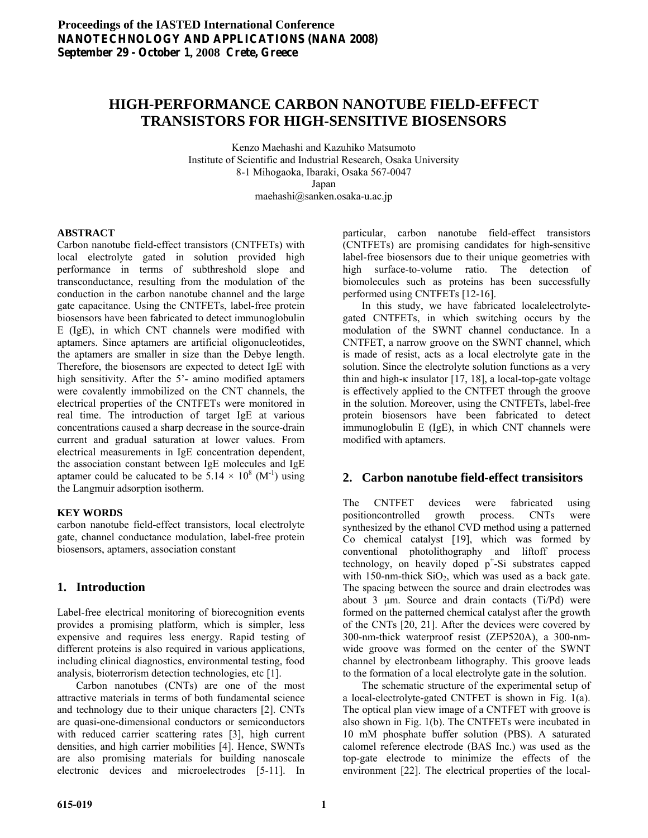# **HIGH-PERFORMANCE CARBON NANOTUBE FIELD-EFFECT TRANSISTORS FOR HIGH-SENSITIVE BIOSENSORS**

Kenzo Maehashi and Kazuhiko Matsumoto Institute of Scientific and Industrial Research, Osaka University 8-1 Mihogaoka, Ibaraki, Osaka 567-0047 Japan maehashi@sanken.osaka-u.ac.jp

#### **ABSTRACT**

Carbon nanotube field-effect transistors (CNTFETs) with local electrolyte gated in solution provided high performance in terms of subthreshold slope and transconductance, resulting from the modulation of the conduction in the carbon nanotube channel and the large gate capacitance. Using the CNTFETs, label-free protein biosensors have been fabricated to detect immunoglobulin E (IgE), in which CNT channels were modified with aptamers. Since aptamers are artificial oligonucleotides, the aptamers are smaller in size than the Debye length. Therefore, the biosensors are expected to detect IgE with high sensitivity. After the 5'- amino modified aptamers were covalently immobilized on the CNT channels, the electrical properties of the CNTFETs were monitored in real time. The introduction of target IgE at various concentrations caused a sharp decrease in the source-drain current and gradual saturation at lower values. From electrical measurements in IgE concentration dependent, the association constant between IgE molecules and IgE aptamer could be calucated to be  $5.14 \times 10^8$  (M<sup>-1</sup>) using the Langmuir adsorption isotherm.

#### **KEY WORDS**

carbon nanotube field-effect transistors, local electrolyte gate, channel conductance modulation, label-free protein biosensors, aptamers, association constant

# **1. Introduction**

Label-free electrical monitoring of biorecognition events provides a promising platform, which is simpler, less expensive and requires less energy. Rapid testing of different proteins is also required in various applications, including clinical diagnostics, environmental testing, food analysis, bioterrorism detection technologies, etc [1].

 Carbon nanotubes (CNTs) are one of the most attractive materials in terms of both fundamental science and technology due to their unique characters [2]. CNTs are quasi-one-dimensional conductors or semiconductors with reduced carrier scattering rates [3], high current densities, and high carrier mobilities [4]. Hence, SWNTs are also promising materials for building nanoscale electronic devices and microelectrodes [5-11]. In

particular, carbon nanotube field-effect transistors (CNTFETs) are promising candidates for high-sensitive label-free biosensors due to their unique geometries with high surface-to-volume ratio. The detection of biomolecules such as proteins has been successfully performed using CNTFETs [12-16].

 In this study, we have fabricated localelectrolytegated CNTFETs, in which switching occurs by the modulation of the SWNT channel conductance. In a CNTFET, a narrow groove on the SWNT channel, which is made of resist, acts as a local electrolyte gate in the solution. Since the electrolyte solution functions as a very thin and high- $\kappa$  insulator [17, 18], a local-top-gate voltage is effectively applied to the CNTFET through the groove in the solution. Moreover, using the CNTFETs, label-free protein biosensors have been fabricated to detect immunoglobulin E (IgE), in which CNT channels were modified with aptamers.

# **2. Carbon nanotube field-effect transisitors**

The CNTFET devices were fabricated using positioncontrolled growth process. CNTs were synthesized by the ethanol CVD method using a patterned Co chemical catalyst [19], which was formed by conventional photolithography and liftoff process technology, on heavily doped p<sup>+</sup>-Si substrates capped with 150-nm-thick  $SiO<sub>2</sub>$ , which was used as a back gate. The spacing between the source and drain electrodes was about 3 μm. Source and drain contacts (Ti/Pd) were formed on the patterned chemical catalyst after the growth of the CNTs [20, 21]. After the devices were covered by 300-nm-thick waterproof resist (ZEP520A), a 300-nmwide groove was formed on the center of the SWNT channel by electronbeam lithography. This groove leads to the formation of a local electrolyte gate in the solution.

 The schematic structure of the experimental setup of a local-electrolyte-gated CNTFET is shown in Fig. 1(a). The optical plan view image of a CNTFET with groove is also shown in Fig. 1(b). The CNTFETs were incubated in 10 mM phosphate buffer solution (PBS). A saturated calomel reference electrode (BAS Inc.) was used as the top-gate electrode to minimize the effects of the environment [22]. The electrical properties of the local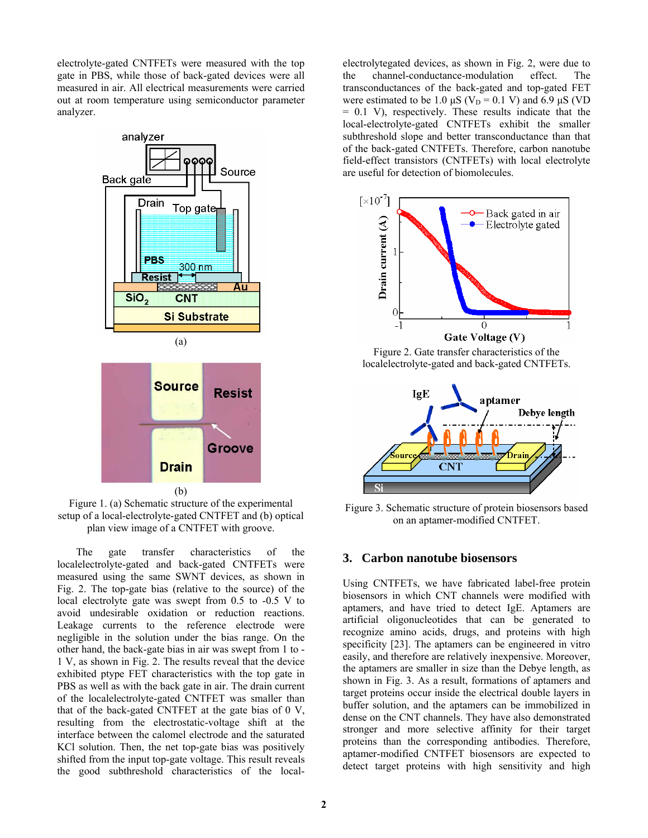electrolyte-gated CNTFETs were measured with the top gate in PBS, while those of back-gated devices were all measured in air. All electrical measurements were carried out at room temperature using semiconductor parameter analyzer.



Figure 1. (a) Schematic structure of the experimental setup of a local-electrolyte-gated CNTFET and (b) optical plan view image of a CNTFET with groove.

 The gate transfer characteristics of the localelectrolyte-gated and back-gated CNTFETs were measured using the same SWNT devices, as shown in Fig. 2. The top-gate bias (relative to the source) of the local electrolyte gate was swept from 0.5 to -0.5 V to avoid undesirable oxidation or reduction reactions. Leakage currents to the reference electrode were negligible in the solution under the bias range. On the other hand, the back-gate bias in air was swept from 1 to - 1 V, as shown in Fig. 2. The results reveal that the device exhibited ptype FET characteristics with the top gate in PBS as well as with the back gate in air. The drain current of the localelectrolyte-gated CNTFET was smaller than that of the back-gated CNTFET at the gate bias of 0 V, resulting from the electrostatic-voltage shift at the interface between the calomel electrode and the saturated KCl solution. Then, the net top-gate bias was positively shifted from the input top-gate voltage. This result reveals the good subthreshold characteristics of the local-

electrolytegated devices, as shown in Fig. 2, were due to the channel-conductance-modulation effect. The transconductances of the back-gated and top-gated FET were estimated to be 1.0  $\mu$ S (V<sub>D</sub> = 0.1 V) and 6.9  $\mu$ S (VD = 0.1 V), respectively. These results indicate that the local-electrolyte-gated CNTFETs exhibit the smaller subthreshold slope and better transconductance than that of the back-gated CNTFETs. Therefore, carbon nanotube field-effect transistors (CNTFETs) with local electrolyte are useful for detection of biomolecules.



Figure 2. Gate transfer characteristics of the localelectrolyte-gated and back-gated CNTFETs.



Figure 3. Schematic structure of protein biosensors based on an aptamer-modified CNTFET.

## **3. Carbon nanotube biosensors**

Using CNTFETs, we have fabricated label-free protein biosensors in which CNT channels were modified with aptamers, and have tried to detect IgE. Aptamers are artificial oligonucleotides that can be generated to recognize amino acids, drugs, and proteins with high specificity [23]. The aptamers can be engineered in vitro easily, and therefore are relatively inexpensive. Moreover, the aptamers are smaller in size than the Debye length, as shown in Fig. 3. As a result, formations of aptamers and target proteins occur inside the electrical double layers in buffer solution, and the aptamers can be immobilized in dense on the CNT channels. They have also demonstrated stronger and more selective affinity for their target proteins than the corresponding antibodies. Therefore, aptamer-modified CNTFET biosensors are expected to detect target proteins with high sensitivity and high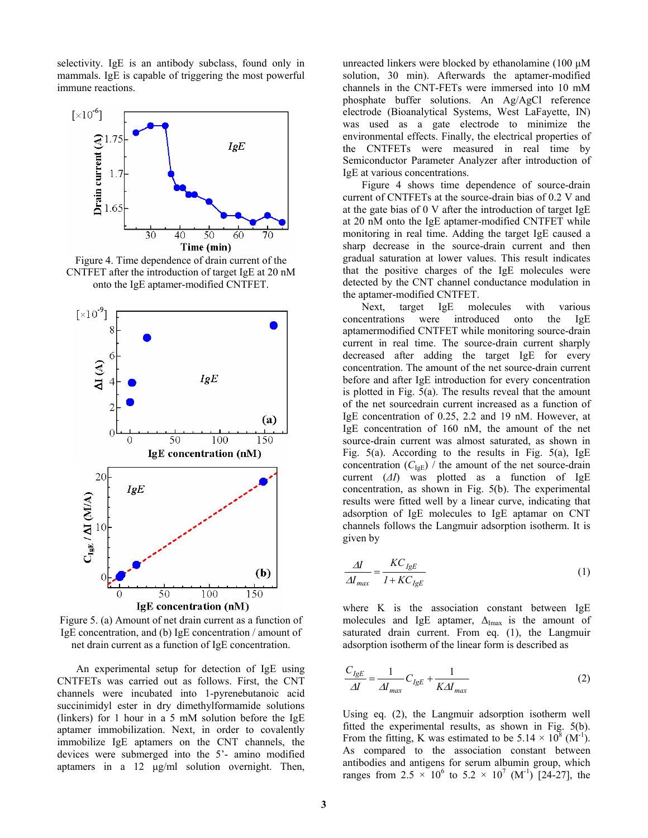selectivity. IgE is an antibody subclass, found only in mammals. IgE is capable of triggering the most powerful immune reactions.



Figure 4. Time dependence of drain current of the CNTFET after the introduction of target IgE at 20 nM onto the IgE aptamer-modified CNTFET.



Figure 5. (a) Amount of net drain current as a function of IgE concentration, and (b) IgE concentration / amount of net drain current as a function of IgE concentration.

 An experimental setup for detection of IgE using CNTFETs was carried out as follows. First, the CNT channels were incubated into 1-pyrenebutanoic acid succinimidyl ester in dry dimethylformamide solutions (linkers) for 1 hour in a 5 mM solution before the IgE aptamer immobilization. Next, in order to covalently immobilize IgE aptamers on the CNT channels, the devices were submerged into the 5'- amino modified aptamers in a 12 μg/ml solution overnight. Then, unreacted linkers were blocked by ethanolamine (100 μM solution, 30 min). Afterwards the aptamer-modified channels in the CNT-FETs were immersed into 10 mM phosphate buffer solutions. An Ag/AgCl reference electrode (Bioanalytical Systems, West LaFayette, IN) was used as a gate electrode to minimize the environmental effects. Finally, the electrical properties of the CNTFETs were measured in real time by Semiconductor Parameter Analyzer after introduction of IgE at various concentrations.

 Figure 4 shows time dependence of source-drain current of CNTFETs at the source-drain bias of 0.2 V and at the gate bias of 0 V after the introduction of target IgE at 20 nM onto the IgE aptamer-modified CNTFET while monitoring in real time. Adding the target IgE caused a sharp decrease in the source-drain current and then gradual saturation at lower values. This result indicates that the positive charges of the IgE molecules were detected by the CNT channel conductance modulation in the aptamer-modified CNTFET.

 Next, target IgE molecules with various concentrations were introduced onto the IgE aptamermodified CNTFET while monitoring source-drain current in real time. The source-drain current sharply decreased after adding the target IgE for every concentration. The amount of the net source-drain current before and after IgE introduction for every concentration is plotted in Fig. 5(a). The results reveal that the amount of the net sourcedrain current increased as a function of IgE concentration of 0.25, 2.2 and 19 nM. However, at IgE concentration of 160 nM, the amount of the net source-drain current was almost saturated, as shown in Fig.  $5(a)$ . According to the results in Fig.  $5(a)$ , IgE concentration  $(C_{IgE})$  / the amount of the net source-drain current (*ΔI*) was plotted as a function of IgE concentration, as shown in Fig. 5(b). The experimental results were fitted well by a linear curve, indicating that adsorption of IgE molecules to IgE aptamar on CNT channels follows the Langmuir adsorption isotherm. It is given by

$$
\frac{\Delta I}{\Delta I_{max}} = \frac{KC_{lgE}}{1 + KC_{lgE}}\tag{1}
$$

where K is the association constant between IgE molecules and IgE aptamer,  $\Delta_{\text{Imax}}$  is the amount of saturated drain current. From eq. (1), the Langmuir adsorption isotherm of the linear form is described as

$$
\frac{C_{lgE}}{\Delta I} = \frac{1}{\Delta I_{max}} C_{lgE} + \frac{1}{K\Delta I_{max}}
$$
(2)

Using eq. (2), the Langmuir adsorption isotherm well fitted the experimental results, as shown in Fig. 5(b). From the fitting, K was estimated to be  $5.14 \times 10^8$  (M<sup>-1</sup>). As compared to the association constant between antibodies and antigens for serum albumin group, which ranges from 2.5  $\times$  10<sup>6</sup> to 5.2  $\times$  10<sup>7</sup> (M<sup>-1</sup>) [24-27], the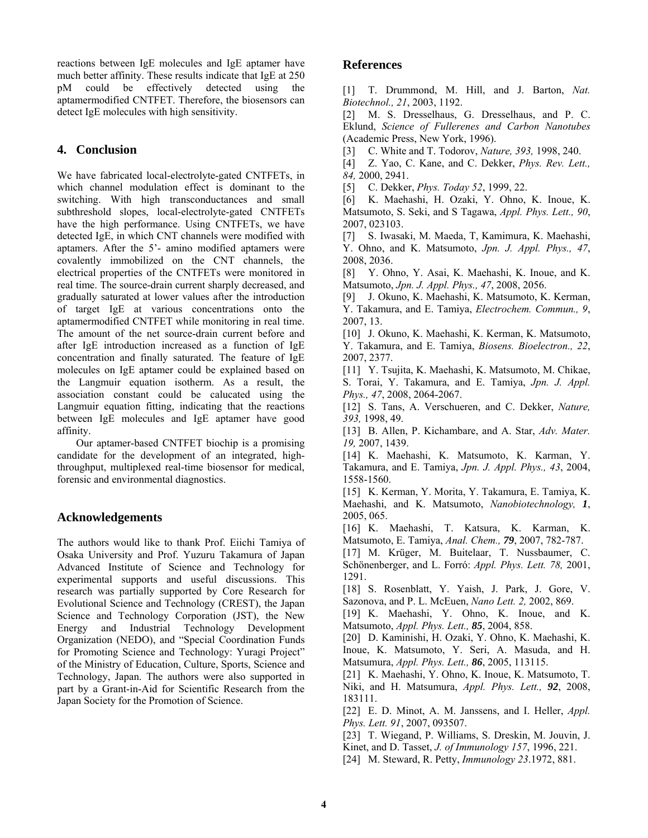reactions between IgE molecules and IgE aptamer have much better affinity. These results indicate that IgE at 250 pM could be effectively detected using the aptamermodified CNTFET. Therefore, the biosensors can detect IgE molecules with high sensitivity.

# **4. Conclusion**

We have fabricated local-electrolyte-gated CNTFETs, in which channel modulation effect is dominant to the switching. With high transconductances and small subthreshold slopes, local-electrolyte-gated CNTFETs have the high performance. Using CNTFETs, we have detected IgE, in which CNT channels were modified with aptamers. After the 5'- amino modified aptamers were covalently immobilized on the CNT channels, the electrical properties of the CNTFETs were monitored in real time. The source-drain current sharply decreased, and gradually saturated at lower values after the introduction of target IgE at various concentrations onto the aptamermodified CNTFET while monitoring in real time. The amount of the net source-drain current before and after IgE introduction increased as a function of IgE concentration and finally saturated. The feature of IgE molecules on IgE aptamer could be explained based on the Langmuir equation isotherm. As a result, the association constant could be calucated using the Langmuir equation fitting, indicating that the reactions between IgE molecules and IgE aptamer have good affinity.

 Our aptamer-based CNTFET biochip is a promising candidate for the development of an integrated, highthroughput, multiplexed real-time biosensor for medical, forensic and environmental diagnostics.

## **Acknowledgements**

The authors would like to thank Prof. Eiichi Tamiya of Osaka University and Prof. Yuzuru Takamura of Japan Advanced Institute of Science and Technology for experimental supports and useful discussions. This research was partially supported by Core Research for Evolutional Science and Technology (CREST), the Japan Science and Technology Corporation (JST), the New Energy and Industrial Technology Development Organization (NEDO), and "Special Coordination Funds for Promoting Science and Technology: Yuragi Project" of the Ministry of Education, Culture, Sports, Science and Technology, Japan. The authors were also supported in part by a Grant-in-Aid for Scientific Research from the Japan Society for the Promotion of Science.

## **References**

[1] T. Drummond, M. Hill, and J. Barton, *Nat. Biotechnol., 21*, 2003, 1192.

[2] M. S. Dresselhaus, G. Dresselhaus, and P. C. Eklund, *Science of Fullerenes and Carbon Nanotubes*  (Academic Press, New York, 1996).

[3] C. White and T. Todorov, *Nature, 393,* 1998, 240.

[4] Z. Yao, C. Kane, and C. Dekker, *Phys. Rev. Lett., 84,* 2000, 2941.

[5] C. Dekker, *Phys. Today 52*, 1999, 22.

[6] K. Maehashi, H. Ozaki, Y. Ohno, K. Inoue, K. Matsumoto, S. Seki, and S Tagawa, *Appl. Phys. Lett., 90*, 2007, 023103.

[7] S. Iwasaki, M. Maeda, T, Kamimura, K. Maehashi, Y. Ohno, and K. Matsumoto, *Jpn. J. Appl. Phys., 47*, 2008, 2036.

[8] Y. Ohno, Y. Asai, K. Maehashi, K. Inoue, and K. Matsumoto, *Jpn. J. Appl. Phys., 47*, 2008, 2056.

[9] J. Okuno, K. Maehashi, K. Matsumoto, K. Kerman, Y. Takamura, and E. Tamiya, *Electrochem. Commun., 9*, 2007, 13.

[10] J. Okuno, K. Maehashi, K. Kerman, K. Matsumoto, Y. Takamura, and E. Tamiya, *Biosens. Bioelectron., 22*, 2007, 2377.

[11] Y. Tsujita, K. Maehashi, K. Matsumoto, M. Chikae, S. Torai, Y. Takamura, and E. Tamiya, *Jpn. J. Appl. Phys., 47*, 2008, 2064-2067.

[12] S. Tans, A. Verschueren, and C. Dekker, *Nature, 393,* 1998, 49.

[13] B. Allen, P. Kichambare, and A. Star, *Adv. Mater. 19,* 2007, 1439.

[14] K. Maehashi, K. Matsumoto, K. Karman, Y. Takamura, and E. Tamiya, *Jpn. J. Appl. Phys., 43*, 2004, 1558-1560.

[15] K. Kerman, Y. Morita, Y. Takamura, E. Tamiya, K. Maehashi, and K. Matsumoto, *Nanobiotechnology, 1*, 2005, 065.

[16] K. Maehashi, T. Katsura, K. Karman, K. Matsumoto, E. Tamiya, *Anal. Chem., 79*, 2007, 782-787.

[17] M. Krüger, M. Buitelaar, T. Nussbaumer, C. Schönenberger, and L. Forró: *Appl. Phys. Lett. 78,* 2001, 1291.

[18] S. Rosenblatt, Y. Yaish, J. Park, J. Gore, V. Sazonova, and P. L. McEuen, *Nano Lett. 2,* 2002, 869.

[19] K. Maehashi, Y. Ohno, K. Inoue, and K. Matsumoto, *Appl. Phys. Lett., 85*, 2004, 858.

[20] D. Kaminishi, H. Ozaki, Y. Ohno, K. Maehashi, K. Inoue, K. Matsumoto, Y. Seri, A. Masuda, and H. Matsumura, *Appl. Phys. Lett., 86*, 2005, 113115.

[21] K. Maehashi, Y. Ohno, K. Inoue, K. Matsumoto, T. Niki, and H. Matsumura, *Appl. Phys. Lett., 92*, 2008, 183111.

[22] E. D. Minot, A. M. Janssens, and I. Heller, *Appl. Phys. Lett. 91*, 2007, 093507.

[23] T. Wiegand, P. Williams, S. Dreskin, M. Jouvin, J.

Kinet, and D. Tasset, *J. of Immunology 157*, 1996, 221. [24] M. Steward, R. Petty, *Immunology 23*.1972, 881.